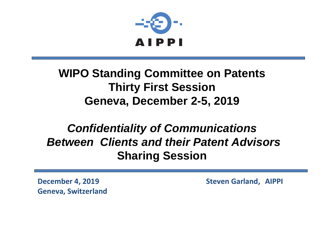

#### **WIPO Standing Committee on Patents Thirty First Session Geneva, December 2-5, 2019**

#### *Confidentiality of Communications Between Clients and their Patent Advisors* **Sharing Session**

**Geneva, Switzerland**

**December 4, 2019 Steven Garland, AIPPI**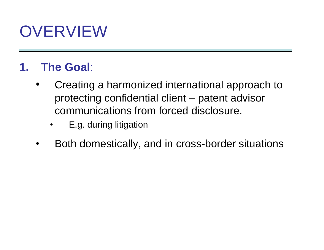### OVERVIEW

#### **1. The Goal**:

- Creating a harmonized international approach to protecting confidential client – patent advisor communications from forced disclosure.
	- E.g. during litigation
- Both domestically, and in cross-border situations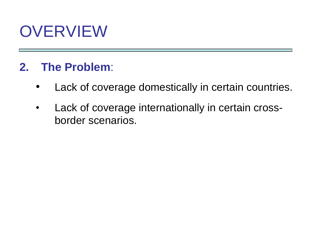### **OVERVIEW**

#### **2. The Problem**:

- Lack of coverage domestically in certain countries.
- Lack of coverage internationally in certain crossborder scenarios.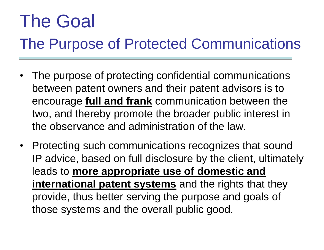# The Goal

### The Purpose of Protected Communications

- The purpose of protecting confidential communications between patent owners and their patent advisors is to encourage **full and frank** communication between the two, and thereby promote the broader public interest in the observance and administration of the law.
- Protecting such communications recognizes that sound IP advice, based on full disclosure by the client, ultimately leads to **more appropriate use of domestic and international patent systems** and the rights that they provide, thus better serving the purpose and goals of those systems and the overall public good.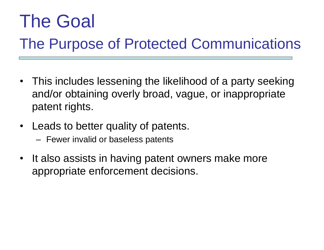# The Goal

### The Purpose of Protected Communications

- This includes lessening the likelihood of a party seeking and/or obtaining overly broad, vague, or inappropriate patent rights.
- Leads to better quality of patents.
	- Fewer invalid or baseless patents
- It also assists in having patent owners make more appropriate enforcement decisions.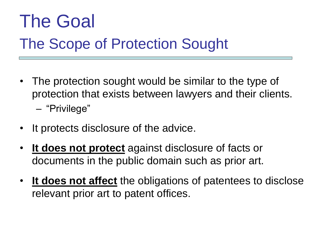# The Goal

### The Scope of Protection Sought

- The protection sought would be similar to the type of protection that exists between lawyers and their clients. – "Privilege"
- It protects disclosure of the advice.
- **It does not protect** against disclosure of facts or documents in the public domain such as prior art.
- **It does not affect** the obligations of patentees to disclose relevant prior art to patent offices.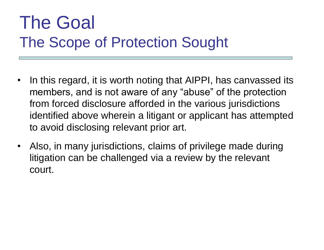### The Goal The Scope of Protection Sought

- In this regard, it is worth noting that AIPPI, has canvassed its members, and is not aware of any "abuse" of the protection from forced disclosure afforded in the various jurisdictions identified above wherein a litigant or applicant has attempted to avoid disclosing relevant prior art.
- Also, in many jurisdictions, claims of privilege made during litigation can be challenged via a review by the relevant court.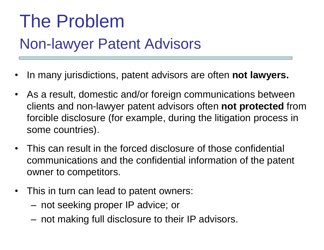# The Problem Non-lawyer Patent Advisors

- In many jurisdictions, patent advisors are often **not lawyers.**
- As a result, domestic and/or foreign communications between clients and non-lawyer patent advisors often **not protected** from forcible disclosure (for example, during the litigation process in some countries).
- This can result in the forced disclosure of those confidential communications and the confidential information of the patent owner to competitors.
- This in turn can lead to patent owners:
	- not seeking proper IP advice; or
	- not making full disclosure to their IP advisors.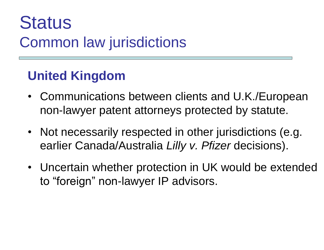#### **United Kingdom**

- Communications between clients and U.K./European non-lawyer patent attorneys protected by statute.
- Not necessarily respected in other jurisdictions (e.g. earlier Canada/Australia *Lilly v. Pfizer* decisions).
- Uncertain whether protection in UK would be extended to "foreign" non-lawyer IP advisors.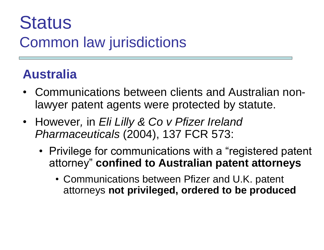#### **Australia**

- Communications between clients and Australian nonlawyer patent agents were protected by statute.
- However*,* in *Eli Lilly & Co v Pfizer Ireland Pharmaceuticals* (2004), 137 FCR 573:
	- Privilege for communications with a "registered patent" attorney" **confined to Australian patent attorneys**
		- Communications between Pfizer and U.K. patent attorneys **not privileged, ordered to be produced**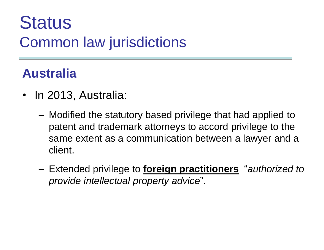#### **Australia**

- In 2013, Australia:
	- Modified the statutory based privilege that had applied to patent and trademark attorneys to accord privilege to the same extent as a communication between a lawyer and a client.
	- Extended privilege to **foreign practitioners** "*authorized to provide intellectual property advice*".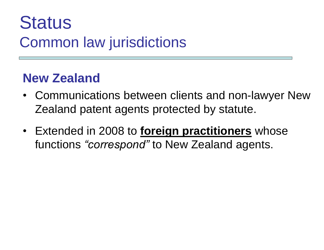#### **New Zealand**

- Communications between clients and non-lawyer New Zealand patent agents protected by statute.
- Extended in 2008 to **foreign practitioners** whose functions *"correspond"* to New Zealand agents.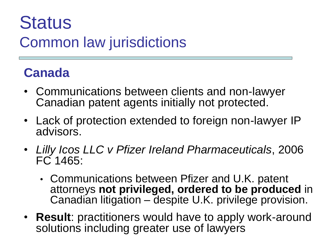#### **Canada**

- Communications between clients and non-lawyer Canadian patent agents initially not protected.
- Lack of protection extended to foreign non-lawyer IP advisors.
- *Lilly Icos LLC v Pfizer Ireland Pharmaceuticals*, 2006 FC 1465:
	- Communications between Pfizer and U.K. patent attorneys **not privileged, ordered to be produced** in Canadian litigation – despite U.K. privilege provision.
- **Result**: practitioners would have to apply work-around solutions including greater use of lawyers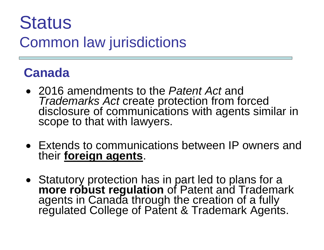#### **Canada**

- 2016 amendments to the *Patent Act* and *Trademarks Act* create protection from forced disclosure of communications with agents similar in scope to that with lawyers.
- Extends to communications between IP owners and their **foreign agents**.
- Statutory protection has in part led to plans for a **more robust regulation** of Patent and Trademark agents in Canada through the creation of a fully regulated College of Patent & Trademark Agents.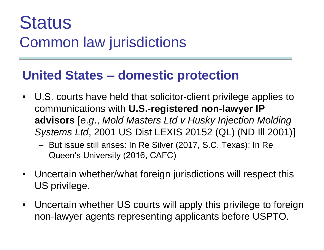#### **United States – domestic protection**

- U.S. courts have held that solicitor-client privilege applies to communications with **U.S.-registered non-lawyer IP advisors** [*e*.*g*., *Mold Masters Ltd v Husky Injection Molding Systems Ltd*, 2001 US Dist LEXIS 20152 (QL) (ND Ill 2001)]
	- But issue still arises: In Re Silver (2017, S.C. Texas); In Re Queen's University (2016, CAFC)
- Uncertain whether/what foreign jurisdictions will respect this US privilege.
- Uncertain whether US courts will apply this privilege to foreign non-lawyer agents representing applicants before USPTO.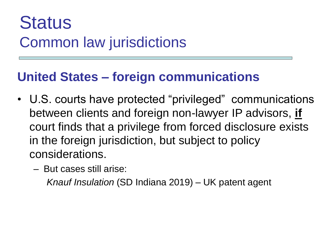#### **United States – foreign communications**

- U.S. courts have protected "privileged" communications between clients and foreign non-lawyer IP advisors, **if** court finds that a privilege from forced disclosure exists in the foreign jurisdiction, but subject to policy considerations.
	- But cases still arise:

*Knauf Insulation* (SD Indiana 2019) – UK patent agent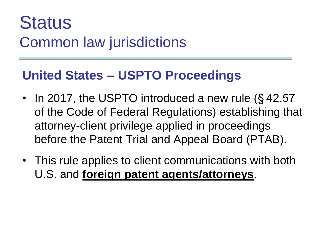#### **United States – USPTO Proceedings**

- In 2017, the USPTO introduced a new rule (§42.57) of the Code of Federal Regulations) establishing that attorney-client privilege applied in proceedings before the Patent Trial and Appeal Board (PTAB).
- This rule applies to client communications with both U.S. and **foreign patent agents/attorneys**.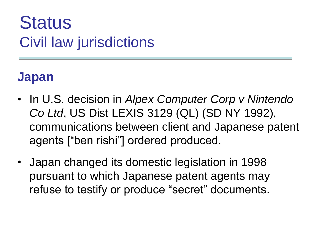#### **Japan**

- In U.S. decision in *Alpex Computer Corp v Nintendo Co Ltd*, US Dist LEXIS 3129 (QL) (SD NY 1992), communications between client and Japanese patent agents ["ben rishi"] ordered produced.
- Japan changed its domestic legislation in 1998 pursuant to which Japanese patent agents may refuse to testify or produce "secret" documents.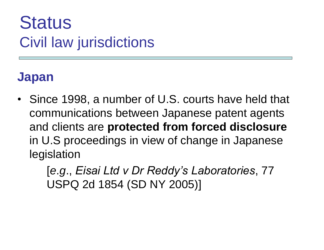#### **Japan**

• Since 1998, a number of U.S. courts have held that communications between Japanese patent agents and clients are **protected from forced disclosure** in U.S proceedings in view of change in Japanese legislation

> [*e*.*g*., *Eisai Ltd v Dr Reddy's Laboratories*, 77 USPQ 2d 1854 (SD NY 2005)]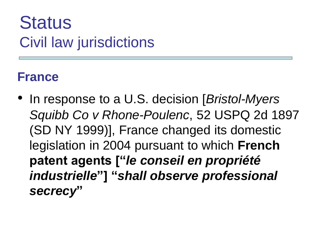#### **France**

• In response to a U.S. decision [*Bristol-Myers Squibb Co v Rhone-Poulenc*, 52 USPQ 2d 1897 (SD NY 1999)], France changed its domestic legislation in 2004 pursuant to which **French patent agents ["***le conseil en propriété industrielle***"] "***shall observe professional secrecy***"**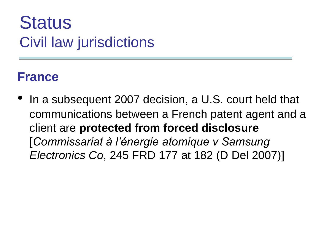#### **France**

In a subsequent 2007 decision, a U.S. court held that communications between a French patent agent and a client are **protected from forced disclosure** [*Commissariat à l'énergie atomique v Samsung Electronics Co*, 245 FRD 177 at 182 (D Del 2007)]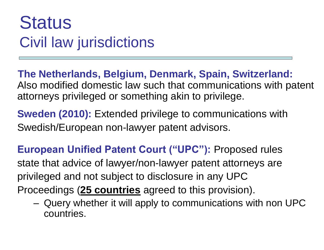**The Netherlands, Belgium, Denmark, Spain, Switzerland:**  Also modified domestic law such that communications with patent attorneys privileged or something akin to privilege.

**Sweden (2010):** Extended privilege to communications with Swedish/European non-lawyer patent advisors.

**European Unified Patent Court ("UPC"):** Proposed rules state that advice of lawyer/non-lawyer patent attorneys are privileged and not subject to disclosure in any UPC Proceedings (**25 countries** agreed to this provision).

– Query whether it will apply to communications with non UPC countries.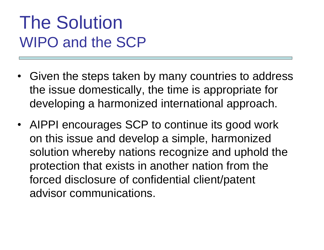## The Solution WIPO and the SCP

- Given the steps taken by many countries to address the issue domestically, the time is appropriate for developing a harmonized international approach.
- AIPPI encourages SCP to continue its good work on this issue and develop a simple, harmonized solution whereby nations recognize and uphold the protection that exists in another nation from the forced disclosure of confidential client/patent advisor communications.